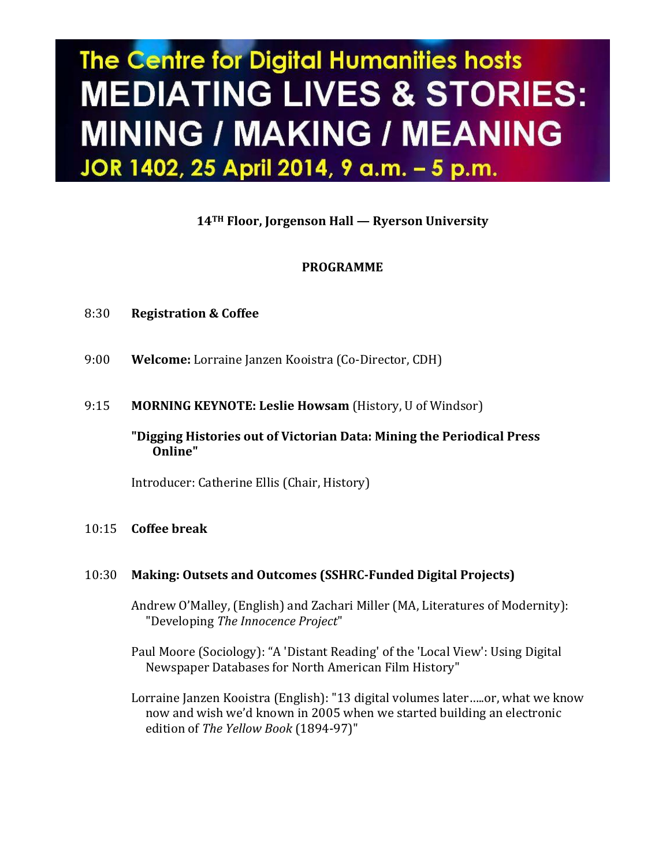# The Centre for Digital Humanities hosts **MEDIATING LIVES & STORIES: MINING / MAKING / MEANING** JOR 1402, 25 April 2014, 9 a.m. - 5 p.m.

**14TH Floor, Jorgenson Hall — Ryerson University**

## **PROGRAMME**

- 8:30 **Registration & Coffee**
- 9:00 **Welcome:** Lorraine Janzen Kooistra (Co-Director, CDH)
- 9:15 **MORNING KEYNOTE: Leslie Howsam** (History, U of Windsor)

#### **"Digging Histories out of Victorian Data: Mining the Periodical Press Online"**

Introducer: Catherine Ellis (Chair, History)

#### 10:15 **Coffee break**

## 10:30 **Making: Outsets and Outcomes (SSHRC-Funded Digital Projects)**

Andrew O'Malley, (English) and Zachari Miller (MA, Literatures of Modernity): "Developing *The Innocence Project*"

Paul Moore (Sociology): "A 'Distant Reading' of the 'Local View': Using Digital Newspaper Databases for North American Film History"

Lorraine Janzen Kooistra (English): "13 digital volumes later…..or, what we know now and wish we'd known in 2005 when we started building an electronic edition of *The Yellow Book* (1894-97)"